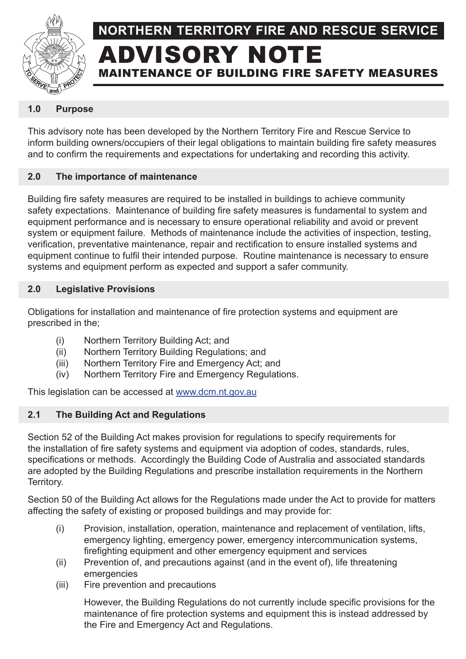

# **NORTHERN TERRITORY FIRE AND RESCUE SERVICE** DVISORY NOTE MAINTENANCE OF BUILDING FIRE SAFETY MEASURES

#### **1.0 Purpose**

This advisory note has been developed by the Northern Territory Fire and Rescue Service to inform building owners/occupiers of their legal obligations to maintain building fire safety measures and to confirm the requirements and expectations for undertaking and recording this activity.

#### **2.0 The importance of maintenance**

Building fire safety measures are required to be installed in buildings to achieve community safety expectations. Maintenance of building fire safety measures is fundamental to system and equipment performance and is necessary to ensure operational reliability and avoid or prevent system or equipment failure. Methods of maintenance include the activities of inspection, testing, verification, preventative maintenance, repair and rectification to ensure installed systems and equipment continue to fulfil their intended purpose. Routine maintenance is necessary to ensure systems and equipment perform as expected and support a safer community.

#### **2.0 Legislative Provisions**

Obligations for installation and maintenance of fire protection systems and equipment are prescribed in the;

- (i) Northern Territory Building Act; and
- (ii) Northern Territory Building Regulations; and
- (iii) Northern Territory Fire and Emergency Act; and
- (iv) Northern Territory Fire and Emergency Regulations.

This legislation can be accessed at www.dcm.nt.gov.au

## **2.1 The Building Act and Regulations**

Section 52 of the Building Act makes provision for regulations to specify requirements for the installation of fire safety systems and equipment via adoption of codes, standards, rules, specifications or methods. Accordingly the Building Code of Australia and associated standards are adopted by the Building Regulations and prescribe installation requirements in the Northern Territory.

Section 50 of the Building Act allows for the Regulations made under the Act to provide for matters affecting the safety of existing or proposed buildings and may provide for:

- (i) Provision, installation, operation, maintenance and replacement of ventilation, lifts, emergency lighting, emergency power, emergency intercommunication systems, firefighting equipment and other emergency equipment and services
- (ii) Prevention of, and precautions against (and in the event of), life threatening emergencies
- (iii) Fire prevention and precautions

However, the Building Regulations do not currently include specific provisions for the maintenance of fire protection systems and equipment this is instead addressed by the Fire and Emergency Act and Regulations.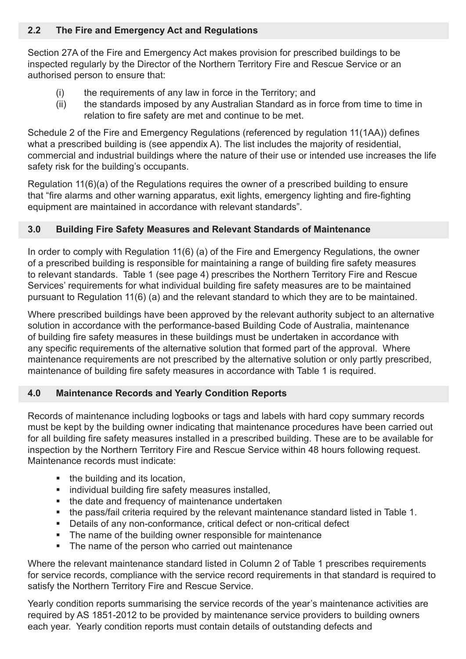#### **2.2 The Fire and Emergency Act and Regulations**

Section 27A of the Fire and Emergency Act makes provision for prescribed buildings to be inspected regularly by the Director of the Northern Territory Fire and Rescue Service or an authorised person to ensure that:

- (i) the requirements of any law in force in the Territory; and
- (ii) the standards imposed by any Australian Standard as in force from time to time in relation to fire safety are met and continue to be met.

Schedule 2 of the Fire and Emergency Regulations (referenced by regulation 11(1AA)) defines what a prescribed building is (see appendix A). The list includes the majority of residential, commercial and industrial buildings where the nature of their use or intended use increases the life safety risk for the building's occupants.

Regulation 11(6)(a) of the Regulations requires the owner of a prescribed building to ensure that "fire alarms and other warning apparatus, exit lights, emergency lighting and fire-fighting equipment are maintained in accordance with relevant standards".

#### **3.0 Building Fire Safety Measures and Relevant Standards of Maintenance**

In order to comply with Regulation 11(6) (a) of the Fire and Emergency Regulations, the owner of a prescribed building is responsible for maintaining a range of building fire safety measures to relevant standards. Table 1 (see page 4) prescribes the Northern Territory Fire and Rescue Services' requirements for what individual building fire safety measures are to be maintained pursuant to Regulation 11(6) (a) and the relevant standard to which they are to be maintained.

Where prescribed buildings have been approved by the relevant authority subject to an alternative solution in accordance with the performance-based Building Code of Australia, maintenance of building fire safety measures in these buildings must be undertaken in accordance with any specific requirements of the alternative solution that formed part of the approval. Where maintenance requirements are not prescribed by the alternative solution or only partly prescribed, maintenance of building fire safety measures in accordance with Table 1 is required.

## **4.0 Maintenance Records and Yearly Condition Reports**

Records of maintenance including logbooks or tags and labels with hard copy summary records must be kept by the building owner indicating that maintenance procedures have been carried out for all building fire safety measures installed in a prescribed building. These are to be available for inspection by the Northern Territory Fire and Rescue Service within 48 hours following request. Maintenance records must indicate:

- the building and its location,
- **i** individual building fire safety measures installed,
- the date and frequency of maintenance undertaken
- the pass/fail criteria required by the relevant maintenance standard listed in Table 1.
- Details of any non-conformance, critical defect or non-critical defect
- The name of the building owner responsible for maintenance
- The name of the person who carried out maintenance

Where the relevant maintenance standard listed in Column 2 of Table 1 prescribes requirements for service records, compliance with the service record requirements in that standard is required to satisfy the Northern Territory Fire and Rescue Service.

Yearly condition reports summarising the service records of the year's maintenance activities are required by AS 1851-2012 to be provided by maintenance service providers to building owners each year. Yearly condition reports must contain details of outstanding defects and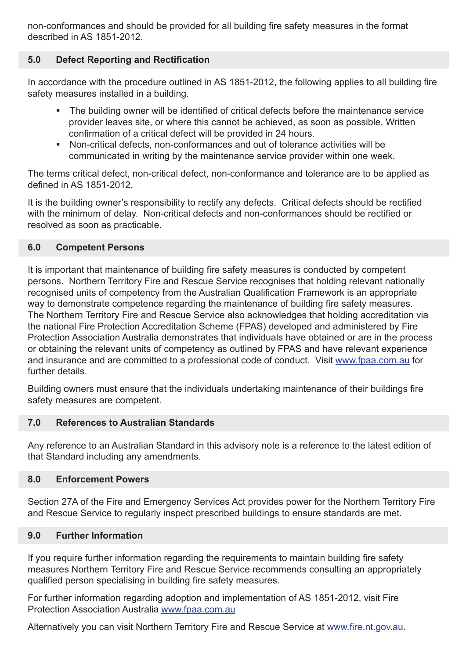non-conformances and should be provided for all building fire safety measures in the format described in AS 1851-2012.

#### **5.0 Defect Reporting and Rectification**

In accordance with the procedure outlined in AS 1851-2012, the following applies to all building fire safety measures installed in a building.

- The building owner will be identified of critical defects before the maintenance service provider leaves site, or where this cannot be achieved, as soon as possible. Written confirmation of a critical defect will be provided in 24 hours.
- Non-critical defects, non-conformances and out of tolerance activities will be communicated in writing by the maintenance service provider within one week.

The terms critical defect, non-critical defect, non-conformance and tolerance are to be applied as defined in AS 1851-2012.

It is the building owner's responsibility to rectify any defects. Critical defects should be rectified with the minimum of delay. Non-critical defects and non-conformances should be rectified or resolved as soon as practicable.

#### **6.0 Competent Persons**

It is important that maintenance of building fire safety measures is conducted by competent persons. Northern Territory Fire and Rescue Service recognises that holding relevant nationally recognised units of competency from the Australian Qualification Framework is an appropriate way to demonstrate competence regarding the maintenance of building fire safety measures. The Northern Territory Fire and Rescue Service also acknowledges that holding accreditation via the national Fire Protection Accreditation Scheme (FPAS) developed and administered by Fire Protection Association Australia demonstrates that individuals have obtained or are in the process or obtaining the relevant units of competency as outlined by FPAS and have relevant experience and insurance and are committed to a professional code of conduct. Visit www.fpaa.com.au for further details.

Building owners must ensure that the individuals undertaking maintenance of their buildings fire safety measures are competent.

#### **7.0 References to Australian Standards**

Any reference to an Australian Standard in this advisory note is a reference to the latest edition of that Standard including any amendments.

#### **8.0 Enforcement Powers**

Section 27A of the Fire and Emergency Services Act provides power for the Northern Territory Fire and Rescue Service to regularly inspect prescribed buildings to ensure standards are met.

#### **9.0 Further Information**

If you require further information regarding the requirements to maintain building fire safety measures Northern Territory Fire and Rescue Service recommends consulting an appropriately qualified person specialising in building fire safety measures.

For further information regarding adoption and implementation of AS 1851-2012, visit Fire Protection Association Australia www.fpaa.com.au

Alternatively you can visit Northern Territory Fire and Rescue Service at www.fire.nt.gov.au.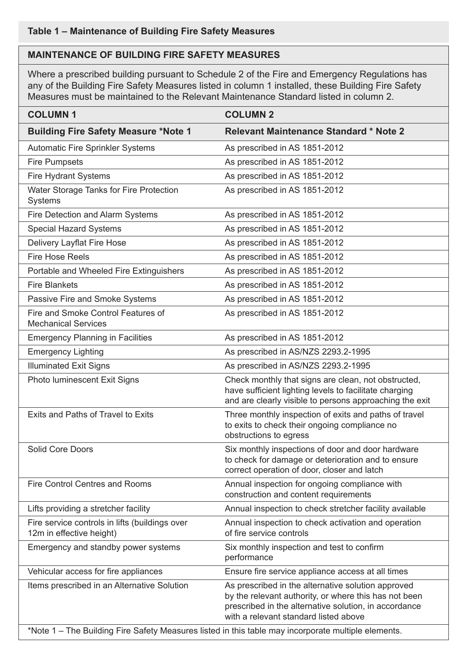# **Table 1 – Maintenance of Building Fire Safety Measures**

#### **MAINTENANCE OF BUILDING FIRE SAFETY MEASURES**

Where a prescribed building pursuant to Schedule 2 of the Fire and Emergency Regulations has any of the Building Fire Safety Measures listed in column 1 installed, these Building Fire Safety Measures must be maintained to the Relevant Maintenance Standard listed in column 2.

| <b>COLUMN1</b>                                                                                      | <b>COLUMN 2</b>                                                                                                                                                                                               |
|-----------------------------------------------------------------------------------------------------|---------------------------------------------------------------------------------------------------------------------------------------------------------------------------------------------------------------|
| <b>Building Fire Safety Measure *Note 1</b>                                                         | <b>Relevant Maintenance Standard * Note 2</b>                                                                                                                                                                 |
| <b>Automatic Fire Sprinkler Systems</b>                                                             | As prescribed in AS 1851-2012                                                                                                                                                                                 |
| <b>Fire Pumpsets</b>                                                                                | As prescribed in AS 1851-2012                                                                                                                                                                                 |
| <b>Fire Hydrant Systems</b>                                                                         | As prescribed in AS 1851-2012                                                                                                                                                                                 |
| Water Storage Tanks for Fire Protection<br>Systems                                                  | As prescribed in AS 1851-2012                                                                                                                                                                                 |
| Fire Detection and Alarm Systems                                                                    | As prescribed in AS 1851-2012                                                                                                                                                                                 |
| <b>Special Hazard Systems</b>                                                                       | As prescribed in AS 1851-2012                                                                                                                                                                                 |
| Delivery Layflat Fire Hose                                                                          | As prescribed in AS 1851-2012                                                                                                                                                                                 |
| <b>Fire Hose Reels</b>                                                                              | As prescribed in AS 1851-2012                                                                                                                                                                                 |
| Portable and Wheeled Fire Extinguishers                                                             | As prescribed in AS 1851-2012                                                                                                                                                                                 |
| <b>Fire Blankets</b>                                                                                | As prescribed in AS 1851-2012                                                                                                                                                                                 |
| Passive Fire and Smoke Systems                                                                      | As prescribed in AS 1851-2012                                                                                                                                                                                 |
| Fire and Smoke Control Features of<br><b>Mechanical Services</b>                                    | As prescribed in AS 1851-2012                                                                                                                                                                                 |
| <b>Emergency Planning in Facilities</b>                                                             | As prescribed in AS 1851-2012                                                                                                                                                                                 |
| <b>Emergency Lighting</b>                                                                           | As prescribed in AS/NZS 2293.2-1995                                                                                                                                                                           |
| <b>Illuminated Exit Signs</b>                                                                       | As prescribed in AS/NZS 2293.2-1995                                                                                                                                                                           |
| Photo luminescent Exit Signs                                                                        | Check monthly that signs are clean, not obstructed,<br>have sufficient lighting levels to facilitate charging<br>and are clearly visible to persons approaching the exit                                      |
| Exits and Paths of Travel to Exits                                                                  | Three monthly inspection of exits and paths of travel<br>to exits to check their ongoing compliance no<br>obstructions to egress                                                                              |
| <b>Solid Core Doors</b>                                                                             | Six monthly inspections of door and door hardware<br>to check for damage or deterioration and to ensure<br>correct operation of door, closer and latch                                                        |
| <b>Fire Control Centres and Rooms</b>                                                               | Annual inspection for ongoing compliance with<br>construction and content requirements                                                                                                                        |
| Lifts providing a stretcher facility                                                                | Annual inspection to check stretcher facility available                                                                                                                                                       |
| Fire service controls in lifts (buildings over<br>12m in effective height)                          | Annual inspection to check activation and operation<br>of fire service controls                                                                                                                               |
| Emergency and standby power systems                                                                 | Six monthly inspection and test to confirm<br>performance                                                                                                                                                     |
| Vehicular access for fire appliances                                                                | Ensure fire service appliance access at all times                                                                                                                                                             |
| Items prescribed in an Alternative Solution                                                         | As prescribed in the alternative solution approved<br>by the relevant authority, or where this has not been<br>prescribed in the alternative solution, in accordance<br>with a relevant standard listed above |
| *Note 1 - The Building Fire Safety Measures listed in this table may incorporate multiple elements. |                                                                                                                                                                                                               |